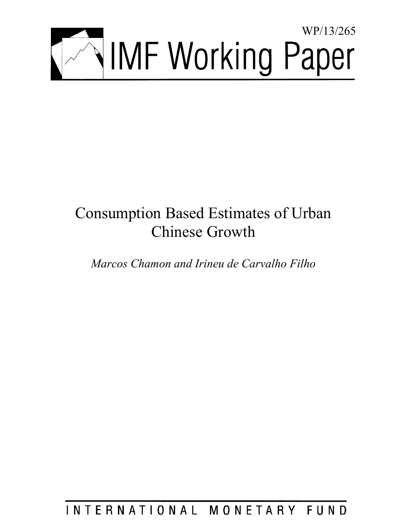

# Consumption Based Estimates of Urban Chinese Growth

*Marcos Chamon and Irineu de Carvalho Filho* 

INTERNATIONAL MONETARY FUND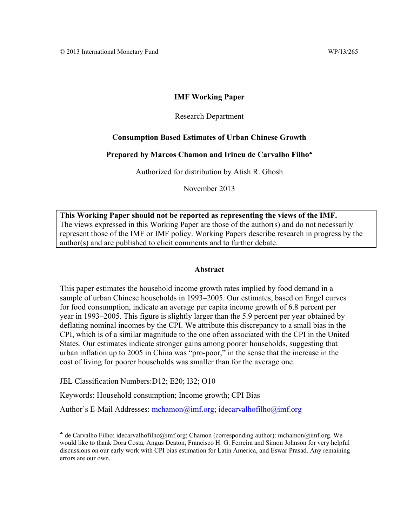## **IMF Working Paper**

#### Research Department

#### **Consumption Based Estimates of Urban Chinese Growth**

#### **Prepared by Marcos Chamon and Irineu de Carvalho Filho**

Authorized for distribution by Atish R. Ghosh

November 2013

**This Working Paper should not be reported as representing the views of the IMF.**  The views expressed in this Working Paper are those of the author(s) and do not necessarily represent those of the IMF or IMF policy. Working Papers describe research in progress by the author(s) and are published to elicit comments and to further debate.

#### **Abstract**

This paper estimates the household income growth rates implied by food demand in a sample of urban Chinese households in 1993–2005. Our estimates, based on Engel curves for food consumption, indicate an average per capita income growth of 6.8 percent per year in 1993–2005. This figure is slightly larger than the 5.9 percent per year obtained by deflating nominal incomes by the CPI. We attribute this discrepancy to a small bias in the CPI, which is of a similar magnitude to the one often associated with the CPI in the United States. Our estimates indicate stronger gains among poorer households, suggesting that urban inflation up to 2005 in China was "pro-poor," in the sense that the increase in the cost of living for poorer households was smaller than for the average one.

JEL Classification Numbers:D12; E20; I32; O10

Keywords: Household consumption; Income growth; CPI Bias

Author's E-Mail Addresses: mchamon@imf.org; idecarvalhofilho@imf.org

de Carvalho Filho: idecarvalhofilho@imf.org; Chamon (corresponding author): mchamon@imf.org. We would like to thank Dora Costa, Angus Deaton, Francisco H. G. Ferreira and Simon Johnson for very helpful discussions on our early work with CPI bias estimation for Latin America, and Eswar Prasad. Any remaining errors are our own.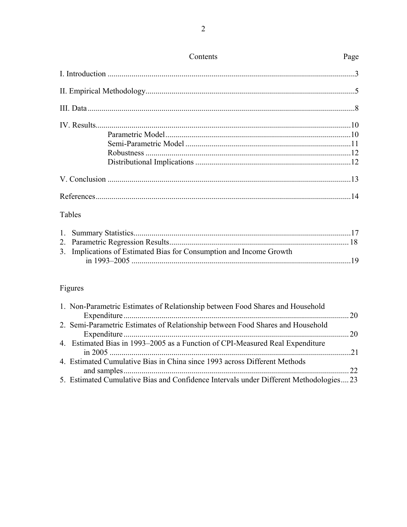|                                                                     | Contents | Page |  |  |
|---------------------------------------------------------------------|----------|------|--|--|
|                                                                     |          |      |  |  |
|                                                                     |          |      |  |  |
|                                                                     |          |      |  |  |
|                                                                     |          |      |  |  |
|                                                                     |          |      |  |  |
|                                                                     |          |      |  |  |
|                                                                     |          |      |  |  |
|                                                                     |          |      |  |  |
|                                                                     |          |      |  |  |
|                                                                     |          |      |  |  |
|                                                                     | Tables   |      |  |  |
|                                                                     |          |      |  |  |
|                                                                     |          |      |  |  |
| 3. Implications of Estimated Bias for Consumption and Income Growth |          |      |  |  |
|                                                                     |          |      |  |  |
|                                                                     | Figures  |      |  |  |

## Figures

| 1. Non-Parametric Estimates of Relationship between Food Shares and Household         |  |
|---------------------------------------------------------------------------------------|--|
|                                                                                       |  |
| 2. Semi-Parametric Estimates of Relationship between Food Shares and Household        |  |
|                                                                                       |  |
| 4. Estimated Bias in 1993–2005 as a Function of CPI-Measured Real Expenditure         |  |
|                                                                                       |  |
| 4. Estimated Cumulative Bias in China since 1993 across Different Methods             |  |
|                                                                                       |  |
| 5. Estimated Cumulative Bias and Confidence Intervals under Different Methodologies23 |  |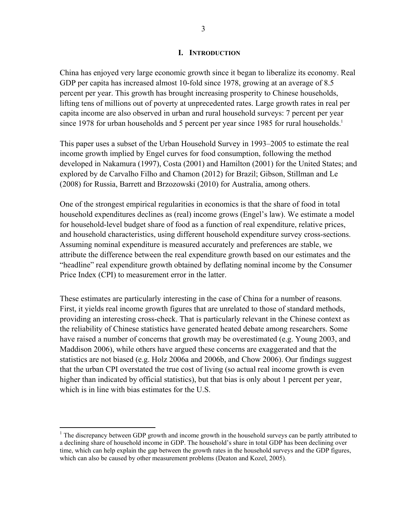## **I. INTRODUCTION**

China has enjoyed very large economic growth since it began to liberalize its economy. Real GDP per capita has increased almost 10-fold since 1978, growing at an average of 8.5 percent per year. This growth has brought increasing prosperity to Chinese households, lifting tens of millions out of poverty at unprecedented rates. Large growth rates in real per capita income are also observed in urban and rural household surveys: 7 percent per year since 1978 for urban households and 5 percent per year since 1985 for rural households.<sup>1</sup>

This paper uses a subset of the Urban Household Survey in 1993–2005 to estimate the real income growth implied by Engel curves for food consumption, following the method developed in Nakamura (1997), Costa (2001) and Hamilton (2001) for the United States; and explored by de Carvalho Filho and Chamon (2012) for Brazil; Gibson, Stillman and Le (2008) for Russia, Barrett and Brzozowski (2010) for Australia, among others.

One of the strongest empirical regularities in economics is that the share of food in total household expenditures declines as (real) income grows (Engel's law). We estimate a model for household-level budget share of food as a function of real expenditure, relative prices, and household characteristics, using different household expenditure survey cross-sections. Assuming nominal expenditure is measured accurately and preferences are stable, we attribute the difference between the real expenditure growth based on our estimates and the "headline" real expenditure growth obtained by deflating nominal income by the Consumer Price Index (CPI) to measurement error in the latter.

These estimates are particularly interesting in the case of China for a number of reasons. First, it yields real income growth figures that are unrelated to those of standard methods, providing an interesting cross-check. That is particularly relevant in the Chinese context as the reliability of Chinese statistics have generated heated debate among researchers. Some have raised a number of concerns that growth may be overestimated (e.g. Young 2003, and Maddison 2006), while others have argued these concerns are exaggerated and that the statistics are not biased (e.g. Holz 2006a and 2006b, and Chow 2006). Our findings suggest that the urban CPI overstated the true cost of living (so actual real income growth is even higher than indicated by official statistics), but that bias is only about 1 percent per year, which is in line with bias estimates for the U.S.

1

 $1$  The discrepancy between GDP growth and income growth in the household surveys can be partly attributed to a declining share of household income in GDP. The household's share in total GDP has been declining over time, which can help explain the gap between the growth rates in the household surveys and the GDP figures, which can also be caused by other measurement problems (Deaton and Kozel, 2005).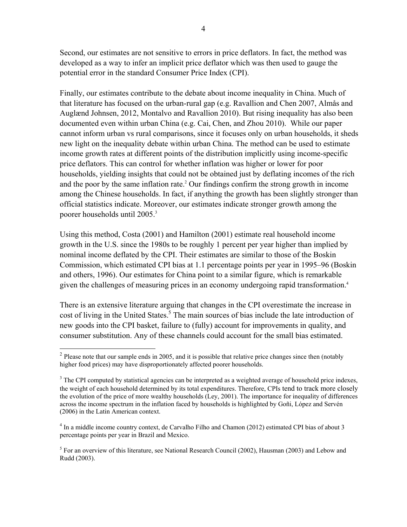Second, our estimates are not sensitive to errors in price deflators. In fact, the method was developed as a way to infer an implicit price deflator which was then used to gauge the potential error in the standard Consumer Price Index (CPI).

Finally, our estimates contribute to the debate about income inequality in China. Much of that literature has focused on the urban-rural gap (e.g. Ravallion and Chen 2007, Almås and Auglænd Johnsen, 2012, Montalvo and Ravallion 2010). But rising inequality has also been documented even within urban China (e.g. Cai, Chen, and Zhou 2010). While our paper cannot inform urban vs rural comparisons, since it focuses only on urban households, it sheds new light on the inequality debate within urban China. The method can be used to estimate income growth rates at different points of the distribution implicitly using income-specific price deflators. This can control for whether inflation was higher or lower for poor households, yielding insights that could not be obtained just by deflating incomes of the rich and the poor by the same inflation rate.<sup>2</sup> Our findings confirm the strong growth in income among the Chinese households. In fact, if anything the growth has been slightly stronger than official statistics indicate. Moreover, our estimates indicate stronger growth among the poorer households until 2005.3

Using this method, Costa (2001) and Hamilton (2001) estimate real household income growth in the U.S. since the 1980s to be roughly 1 percent per year higher than implied by nominal income deflated by the CPI. Their estimates are similar to those of the Boskin Commission, which estimated CPI bias at 1.1 percentage points per year in 1995–96 (Boskin and others, 1996). Our estimates for China point to a similar figure, which is remarkable given the challenges of measuring prices in an economy undergoing rapid transformation.<sup>4</sup>

There is an extensive literature arguing that changes in the CPI overestimate the increase in cost of living in the United States.<sup>5</sup> The main sources of bias include the late introduction of new goods into the CPI basket, failure to (fully) account for improvements in quality, and consumer substitution. Any of these channels could account for the small bias estimated.

 $\overline{a}$ 

<sup>&</sup>lt;sup>2</sup> Please note that our sample ends in 2005, and it is possible that relative price changes since then (notably higher food prices) may have disproportionately affected poorer households.

 $3$  The CPI computed by statistical agencies can be interpreted as a weighted average of household price indexes, the weight of each household determined by its total expenditures. Therefore, CPIs tend to track more closely the evolution of the price of more wealthy households (Ley, 2001). The importance for inequality of differences across the income spectrum in the inflation faced by households is highlighted by Goñi, López and Servén (2006) in the Latin American context.

<sup>&</sup>lt;sup>4</sup> In a middle income country context, de Carvalho Filho and Chamon (2012) estimated CPI bias of about 3 percentage points per year in Brazil and Mexico.

<sup>&</sup>lt;sup>5</sup> For an overview of this literature, see National Research Council (2002), Hausman (2003) and Lebow and Rudd (2003).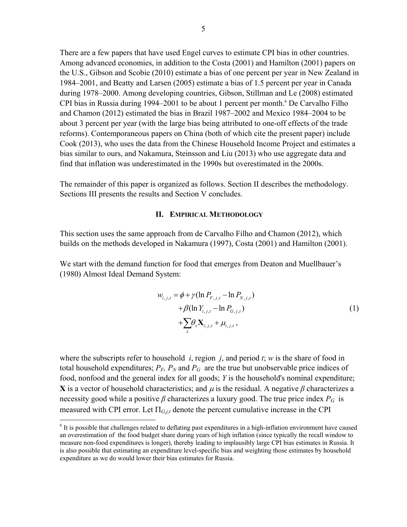There are a few papers that have used Engel curves to estimate CPI bias in other countries. Among advanced economies, in addition to the Costa (2001) and Hamilton (2001) papers on the U.S., Gibson and Scobie (2010) estimate a bias of one percent per year in New Zealand in 1984–2001, and Beatty and Larsen (2005) estimate a bias of 1.5 percent per year in Canada during 1978–2000. Among developing countries, Gibson, Stillman and Le (2008) estimated CPI bias in Russia during 1994–2001 to be about 1 percent per month.<sup>6</sup> De Carvalho Filho and Chamon (2012) estimated the bias in Brazil 1987–2002 and Mexico 1984–2004 to be about 3 percent per year (with the large bias being attributed to one-off effects of the trade reforms). Contemporaneous papers on China (both of which cite the present paper) include Cook (2013), who uses the data from the Chinese Household Income Project and estimates a bias similar to ours, and Nakamura, Steinsson and Liu (2013) who use aggregate data and find that inflation was underestimated in the 1990s but overestimated in the 2000s.

The remainder of this paper is organized as follows. Section II describes the methodology. Sections III presents the results and Section V concludes.

#### **II. EMPIRICAL METHODOLOGY**

This section uses the same approach from de Carvalho Filho and Chamon (2012), which builds on the methods developed in Nakamura (1997), Costa (2001) and Hamilton (2001).

We start with the demand function for food that emerges from Deaton and Muellbauer's (1980) Almost Ideal Demand System:

$$
w_{i,j,t} = \phi + \gamma (\ln P_{F,j,t} - \ln P_{N,j,t}) + \beta (\ln Y_{i,j,t} - \ln P_{G,j,t}) + \sum_{x} \theta_{x} \mathbf{X}_{i,j,t} + \mu_{i,j,t},
$$
 (1)

where the subscripts refer to household *i*, region *j*, and period *t*; *w* is the share of food in total household expenditures;  $P_F$ ,  $P_N$  and  $P_G$  are the true but unobservable price indices of food, nonfood and the general index for all goods; *Y* is the household's nominal expenditure; **X** is a vector of household characteristics; and  $\mu$  is the residual. A negative  $\beta$  characterizes a necessity good while a positive  $\beta$  characterizes a luxury good. The true price index  $P_G$  is measured with CPI error. Let  $\Pi_{G,i,t}$  denote the percent cumulative increase in the CPI

 $\overline{a}$ 

<sup>&</sup>lt;sup>6</sup> It is possible that challenges related to deflating past expenditures in a high-inflation environment have caused an overestimation of the food budget share during years of high inflation (since typically the recall window to measure non-food expenditures is longer), thereby leading to implausibly large CPI bias estimates in Russia. It is also possible that estimating an expenditure level-specific bias and weighting those estimates by household expenditure as we do would lower their bias estimates for Russia.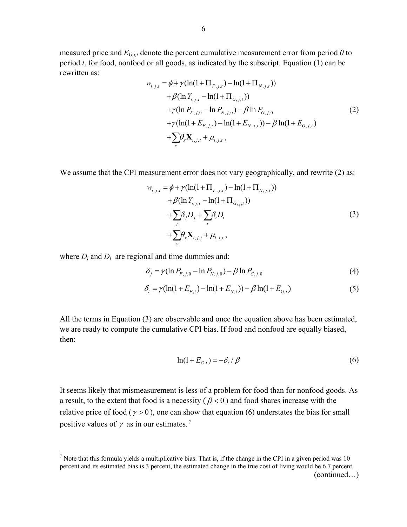measured price and *EG,j,t* denote the percent cumulative measurement error from period *0* to period *t*, for food, nonfood or all goods, as indicated by the subscript. Equation (1) can be rewritten as:

$$
w_{i,j,t} = \phi + \gamma (\ln(1 + \Pi_{F,j,t}) - \ln(1 + \Pi_{N,j,t}))
$$
  
+  $\beta (\ln Y_{i,j,t} - \ln(1 + \Pi_{G,j,t}))$   
+  $\gamma (\ln P_{F,j,0} - \ln P_{N,j,0}) - \beta \ln P_{G,j,0}$   
+  $\gamma (\ln(1 + E_{F,j,t}) - \ln(1 + E_{N,j,t})) - \beta \ln(1 + E_{G,j,t})$   
+  $\sum_{x} \theta_{x} \mathbf{X}_{i,j,t} + \mu_{i,j,t}$ , (2)

We assume that the CPI measurement error does not vary geographically, and rewrite (2) as:

$$
w_{i,j,t} = \phi + \gamma (\ln(1 + \Pi_{F,j,t}) - \ln(1 + \Pi_{N,j,t})) + \beta (\ln Y_{i,j,t} - \ln(1 + \Pi_{G,j,t})) + \sum_{j} \delta_j D_j + \sum_{t} \delta_t D_t + \sum_{x} \theta_x \mathbf{X}_{i,j,t} + \mu_{i,j,t},
$$
(3)

where  $D_i$  and  $D_t$  are regional and time dummies and:

1

$$
\delta_j = \gamma (\ln P_{F,j,0} - \ln P_{N,j,0}) - \beta \ln P_{G,j,0}
$$
\n(4)

$$
\delta_t = \gamma (\ln(1 + E_{F,t}) - \ln(1 + E_{N,t})) - \beta \ln(1 + E_{G,t})
$$
\n(5)

All the terms in Equation (3) are observable and once the equation above has been estimated, we are ready to compute the cumulative CPI bias. If food and nonfood are equally biased, then:

$$
\ln(1 + E_{G,t}) = -\delta_t / \beta \tag{6}
$$

It seems likely that mismeasurement is less of a problem for food than for nonfood goods. As a result, to the extent that food is a necessity ( $\beta$  < 0) and food shares increase with the relative price of food ( $\gamma > 0$ ), one can show that equation (6) understates the bias for small positive values of  $\gamma$  as in our estimates.<sup>7</sup>

<sup>&</sup>lt;sup>7</sup> Note that this formula yields a multiplicative bias. That is, if the change in the CPI in a given period was 10 percent and its estimated bias is 3 percent, the estimated change in the true cost of living would be 6.7 percent,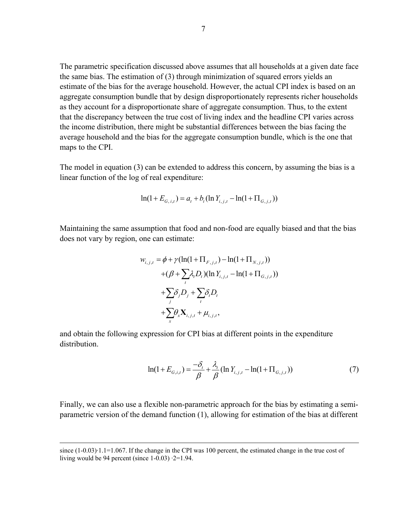The parametric specification discussed above assumes that all households at a given date face the same bias. The estimation of (3) through minimization of squared errors yields an estimate of the bias for the average household. However, the actual CPI index is based on an aggregate consumption bundle that by design disproportionately represents richer households as they account for a disproportionate share of aggregate consumption. Thus, to the extent that the discrepancy between the true cost of living index and the headline CPI varies across the income distribution, there might be substantial differences between the bias facing the average household and the bias for the aggregate consumption bundle, which is the one that maps to the CPI.

The model in equation (3) can be extended to address this concern, by assuming the bias is a linear function of the log of real expenditure:

$$
\ln(1 + E_{G,i,t}) = a_t + b_t(\ln Y_{i,j,t} - \ln(1 + \Pi_{G,j,t}))
$$

Maintaining the same assumption that food and non-food are equally biased and that the bias does not vary by region, one can estimate:

$$
w_{i,j,t} = \phi + \gamma (\ln(1 + \Pi_{F,j,t}) - \ln(1 + \Pi_{N,j,t}))
$$
  
+ (\beta + \sum\_{i} \lambda\_{i} D\_{i}) (\ln Y\_{i,j,t} - \ln(1 + \Pi\_{G,j,t}))  
+ \sum\_{j} \delta\_{j} D\_{j} + \sum\_{i} \delta\_{i} D\_{i}  
+ \sum\_{x} \theta\_{x} \mathbf{X}\_{i,j,t} + \mu\_{i,j,t},

and obtain the following expression for CPI bias at different points in the expenditure distribution.

$$
\ln(1 + E_{G,i,t}) = \frac{-\delta_t}{\beta} + \frac{\lambda_t}{\beta} (\ln Y_{i,j,t} - \ln(1 + \Pi_{G,j,t}))
$$
(7)

Finally, we can also use a flexible non-parametric approach for the bias by estimating a semiparametric version of the demand function (1), allowing for estimation of the bias at different

since  $(1-0.03)$  $\cdot 1.1=1.067$ . If the change in the CPI was 100 percent, the estimated change in the true cost of living would be 94 percent (since  $1-0.03$ )  $\cdot$  2=1.94.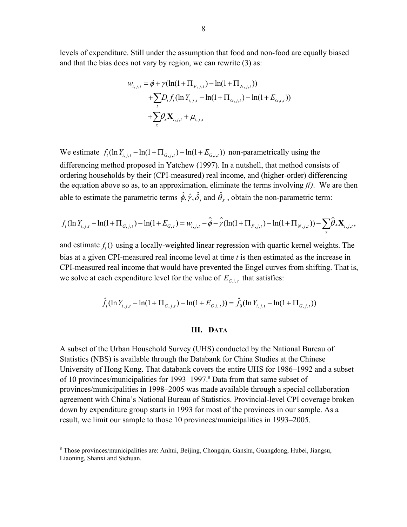levels of expenditure. Still under the assumption that food and non-food are equally biased and that the bias does not vary by region, we can rewrite (3) as:

$$
w_{i,j,t} = \phi + \gamma (\ln(1 + \Pi_{F,j,t}) - \ln(1 + \Pi_{N,j,t}))
$$
  
+  $\sum_{t} D_{t} f_{t} (\ln Y_{i,j,t} - \ln(1 + \Pi_{G,j,t}) - \ln(1 + E_{G,i,t}))$   
+  $\sum_{x} \theta_{x} \mathbf{X}_{i,j,t} + \mu_{i,j,t}$ 

We estimate  $f_t(\ln Y_{i,t,t} - \ln(1 + \Pi_{G,i,t}) - \ln(1 + E_{G,i,t}))$  non-parametrically using the differencing method proposed in Yatchew (1997). In a nutshell, that method consists of ordering households by their (CPI-measured) real income, and (higher-order) differencing the equation above so as, to an approximation, eliminate the terms involving  $f()$ . We are then able to estimate the parametric terms  $\hat{\phi}$ ,  $\hat{\gamma}$ ,  $\hat{\delta}$ , and  $\hat{\theta}_x$ , obtain the non-parametric term:

$$
f_t(\ln Y_{i,j,t} - \ln(1+\Pi_{G,j,t}) - \ln(1+E_{G,t}) = w_{i,j,t} - \hat{\phi} - \hat{\gamma}(\ln(1+\Pi_{F,j,t}) - \ln(1+\Pi_{N,j,t})) - \sum_x \hat{\theta}_x \mathbf{X}_{i,j,t},
$$

and estimate  $f_{\ell}$  *()* using a locally-weighted linear regression with quartic kernel weights. The bias at a given CPI-measured real income level at time *t* is then estimated as the increase in CPI-measured real income that would have prevented the Engel curves from shifting. That is, we solve at each expenditure level for the value of  $E_{G_{i,t}}$  that satisfies:

$$
\hat{f}_t(\ln Y_{i,j,t} - \ln(1 + \Pi_{G,j,t}) - \ln(1 + E_{G,i,t})) = \hat{f}_0(\ln Y_{i,j,t} - \ln(1 + \Pi_{G,j,t}))
$$

## **III. DATA**

A subset of the Urban Household Survey (UHS) conducted by the National Bureau of Statistics (NBS) is available through the Databank for China Studies at the Chinese University of Hong Kong. That databank covers the entire UHS for 1986–1992 and a subset of 10 provinces/municipalities for 1993–1997.<sup>8</sup> Data from that same subset of provinces/municipalities in 1998–2005 was made available through a special collaboration agreement with China's National Bureau of Statistics. Provincial-level CPI coverage broken down by expenditure group starts in 1993 for most of the provinces in our sample. As a result, we limit our sample to those 10 provinces/municipalities in 1993–2005.

 $\overline{a}$ 

<sup>&</sup>lt;sup>8</sup> Those provinces/municipalities are: Anhui, Beijing, Chongqin, Ganshu, Guangdong, Hubei, Jiangsu, Liaoning, Shanxi and Sichuan.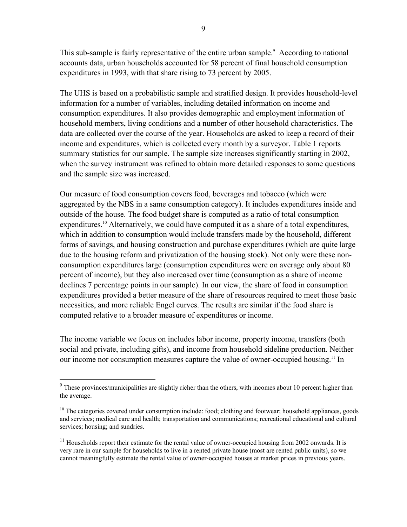This sub-sample is fairly representative of the entire urban sample.<sup>9</sup> According to national accounts data, urban households accounted for 58 percent of final household consumption expenditures in 1993, with that share rising to 73 percent by 2005.

The UHS is based on a probabilistic sample and stratified design. It provides household-level information for a number of variables, including detailed information on income and consumption expenditures. It also provides demographic and employment information of household members, living conditions and a number of other household characteristics. The data are collected over the course of the year. Households are asked to keep a record of their income and expenditures, which is collected every month by a surveyor. Table 1 reports summary statistics for our sample. The sample size increases significantly starting in 2002, when the survey instrument was refined to obtain more detailed responses to some questions and the sample size was increased.

Our measure of food consumption covers food, beverages and tobacco (which were aggregated by the NBS in a same consumption category). It includes expenditures inside and outside of the house. The food budget share is computed as a ratio of total consumption expenditures.<sup>10</sup> Alternatively, we could have computed it as a share of a total expenditures, which in addition to consumption would include transfers made by the household, different forms of savings, and housing construction and purchase expenditures (which are quite large due to the housing reform and privatization of the housing stock). Not only were these nonconsumption expenditures large (consumption expenditures were on average only about 80 percent of income), but they also increased over time (consumption as a share of income declines 7 percentage points in our sample). In our view, the share of food in consumption expenditures provided a better measure of the share of resources required to meet those basic necessities, and more reliable Engel curves. The results are similar if the food share is computed relative to a broader measure of expenditures or income.

The income variable we focus on includes labor income, property income, transfers (both social and private, including gifts), and income from household sideline production. Neither our income nor consumption measures capture the value of owner-occupied housing.<sup>11</sup> In

1

<sup>&</sup>lt;sup>9</sup> These provinces/municipalities are slightly richer than the others, with incomes about 10 percent higher than the average.

<sup>&</sup>lt;sup>10</sup> The categories covered under consumption include: food; clothing and footwear; household appliances, goods and services; medical care and health; transportation and communications; recreational educational and cultural services; housing; and sundries.

 $11$  Households report their estimate for the rental value of owner-occupied housing from 2002 onwards. It is very rare in our sample for households to live in a rented private house (most are rented public units), so we cannot meaningfully estimate the rental value of owner-occupied houses at market prices in previous years.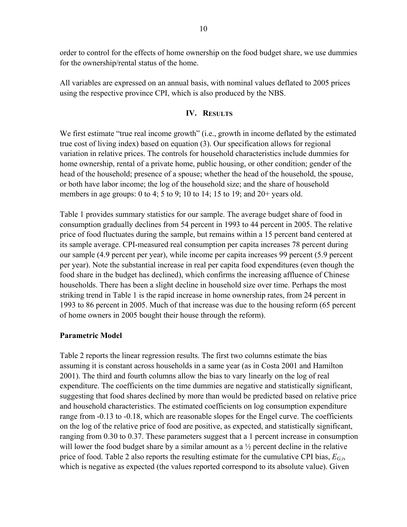order to control for the effects of home ownership on the food budget share, we use dummies for the ownership/rental status of the home.

All variables are expressed on an annual basis, with nominal values deflated to 2005 prices using the respective province CPI, which is also produced by the NBS.

# **IV. RESULTS**

We first estimate "true real income growth" (i.e., growth in income deflated by the estimated true cost of living index) based on equation (3). Our specification allows for regional variation in relative prices. The controls for household characteristics include dummies for home ownership, rental of a private home, public housing, or other condition; gender of the head of the household; presence of a spouse; whether the head of the household, the spouse, or both have labor income; the log of the household size; and the share of household members in age groups: 0 to 4; 5 to 9; 10 to 14; 15 to 19; and 20+ years old.

Table 1 provides summary statistics for our sample. The average budget share of food in consumption gradually declines from 54 percent in 1993 to 44 percent in 2005. The relative price of food fluctuates during the sample, but remains within a 15 percent band centered at its sample average. CPI-measured real consumption per capita increases 78 percent during our sample (4.9 percent per year), while income per capita increases 99 percent (5.9 percent per year). Note the substantial increase in real per capita food expenditures (even though the food share in the budget has declined), which confirms the increasing affluence of Chinese households. There has been a slight decline in household size over time. Perhaps the most striking trend in Table 1 is the rapid increase in home ownership rates, from 24 percent in 1993 to 86 percent in 2005. Much of that increase was due to the housing reform (65 percent of home owners in 2005 bought their house through the reform).

## **Parametric Model**

Table 2 reports the linear regression results. The first two columns estimate the bias assuming it is constant across households in a same year (as in Costa 2001 and Hamilton 2001). The third and fourth columns allow the bias to vary linearly on the log of real expenditure. The coefficients on the time dummies are negative and statistically significant, suggesting that food shares declined by more than would be predicted based on relative price and household characteristics. The estimated coefficients on log consumption expenditure range from -0.13 to -0.18, which are reasonable slopes for the Engel curve. The coefficients on the log of the relative price of food are positive, as expected, and statistically significant, ranging from 0.30 to 0.37. These parameters suggest that a 1 percent increase in consumption will lower the food budget share by a similar amount as a  $\frac{1}{2}$  percent decline in the relative price of food. Table 2 also reports the resulting estimate for the cumulative CPI bias, *EG,t*, which is negative as expected (the values reported correspond to its absolute value). Given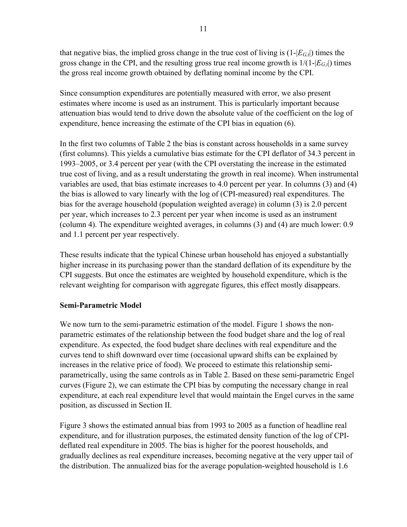that negative bias, the implied gross change in the true cost of living is  $(1-[E_{G,t}])$  times the gross change in the CPI, and the resulting gross true real income growth is  $1/(1-[E_G_t])$  times the gross real income growth obtained by deflating nominal income by the CPI.

Since consumption expenditures are potentially measured with error, we also present estimates where income is used as an instrument. This is particularly important because attenuation bias would tend to drive down the absolute value of the coefficient on the log of expenditure, hence increasing the estimate of the CPI bias in equation (6).

In the first two columns of Table 2 the bias is constant across households in a same survey (first columns). This yields a cumulative bias estimate for the CPI deflator of 34.3 percent in 1993–2005, or 3.4 percent per year (with the CPI overstating the increase in the estimated true cost of living, and as a result understating the growth in real income). When instrumental variables are used, that bias estimate increases to 4.0 percent per year. In columns (3) and (4) the bias is allowed to vary linearly with the log of (CPI-measured) real expenditures. The bias for the average household (population weighted average) in column (3) is 2.0 percent per year, which increases to 2.3 percent per year when income is used as an instrument (column 4). The expenditure weighted averages, in columns (3) and (4) are much lower: 0.9 and 1.1 percent per year respectively.

These results indicate that the typical Chinese urban household has enjoyed a substantially higher increase in its purchasing power than the standard deflation of its expenditure by the CPI suggests. But once the estimates are weighted by household expenditure, which is the relevant weighting for comparison with aggregate figures, this effect mostly disappears.

# **Semi-Parametric Model**

We now turn to the semi-parametric estimation of the model. Figure 1 shows the nonparametric estimates of the relationship between the food budget share and the log of real expenditure. As expected, the food budget share declines with real expenditure and the curves tend to shift downward over time (occasional upward shifts can be explained by increases in the relative price of food). We proceed to estimate this relationship semiparametrically, using the same controls as in Table 2. Based on these semi-parametric Engel curves (Figure 2), we can estimate the CPI bias by computing the necessary change in real expenditure, at each real expenditure level that would maintain the Engel curves in the same position, as discussed in Section II.

Figure 3 shows the estimated annual bias from 1993 to 2005 as a function of headline real expenditure, and for illustration purposes, the estimated density function of the log of CPIdeflated real expenditure in 2005. The bias is higher for the poorest households, and gradually declines as real expenditure increases, becoming negative at the very upper tail of the distribution. The annualized bias for the average population-weighted household is 1.6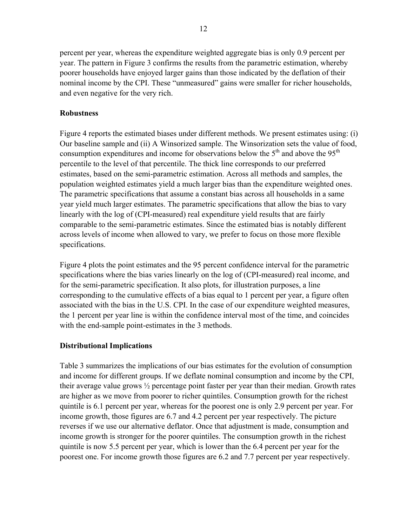percent per year, whereas the expenditure weighted aggregate bias is only 0.9 percent per year. The pattern in Figure 3 confirms the results from the parametric estimation, whereby poorer households have enjoyed larger gains than those indicated by the deflation of their nominal income by the CPI. These "unmeasured" gains were smaller for richer households, and even negative for the very rich.

# **Robustness**

Figure 4 reports the estimated biases under different methods. We present estimates using: (i) Our baseline sample and (ii) A Winsorized sample. The Winsorization sets the value of food, consumption expenditures and income for observations below the  $5<sup>th</sup>$  and above the  $95<sup>th</sup>$ percentile to the level of that percentile. The thick line corresponds to our preferred estimates, based on the semi-parametric estimation. Across all methods and samples, the population weighted estimates yield a much larger bias than the expenditure weighted ones. The parametric specifications that assume a constant bias across all households in a same year yield much larger estimates. The parametric specifications that allow the bias to vary linearly with the log of (CPI-measured) real expenditure yield results that are fairly comparable to the semi-parametric estimates. Since the estimated bias is notably different across levels of income when allowed to vary, we prefer to focus on those more flexible specifications.

Figure 4 plots the point estimates and the 95 percent confidence interval for the parametric specifications where the bias varies linearly on the log of (CPI-measured) real income, and for the semi-parametric specification. It also plots, for illustration purposes, a line corresponding to the cumulative effects of a bias equal to 1 percent per year, a figure often associated with the bias in the U.S. CPI. In the case of our expenditure weighted measures, the 1 percent per year line is within the confidence interval most of the time, and coincides with the end-sample point-estimates in the 3 methods.

# **Distributional Implications**

Table 3 summarizes the implications of our bias estimates for the evolution of consumption and income for different groups. If we deflate nominal consumption and income by the CPI, their average value grows ½ percentage point faster per year than their median. Growth rates are higher as we move from poorer to richer quintiles. Consumption growth for the richest quintile is 6.1 percent per year, whereas for the poorest one is only 2.9 percent per year. For income growth, those figures are 6.7 and 4.2 percent per year respectively. The picture reverses if we use our alternative deflator. Once that adjustment is made, consumption and income growth is stronger for the poorer quintiles. The consumption growth in the richest quintile is now 5.5 percent per year, which is lower than the 6.4 percent per year for the poorest one. For income growth those figures are 6.2 and 7.7 percent per year respectively.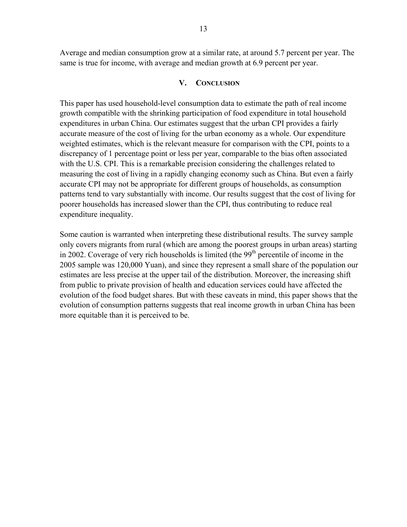Average and median consumption grow at a similar rate, at around 5.7 percent per year. The same is true for income, with average and median growth at 6.9 percent per year.

#### **V. CONCLUSION**

This paper has used household-level consumption data to estimate the path of real income growth compatible with the shrinking participation of food expenditure in total household expenditures in urban China. Our estimates suggest that the urban CPI provides a fairly accurate measure of the cost of living for the urban economy as a whole. Our expenditure weighted estimates, which is the relevant measure for comparison with the CPI, points to a discrepancy of 1 percentage point or less per year, comparable to the bias often associated with the U.S. CPI. This is a remarkable precision considering the challenges related to measuring the cost of living in a rapidly changing economy such as China. But even a fairly accurate CPI may not be appropriate for different groups of households, as consumption patterns tend to vary substantially with income. Our results suggest that the cost of living for poorer households has increased slower than the CPI, thus contributing to reduce real expenditure inequality.

Some caution is warranted when interpreting these distributional results. The survey sample only covers migrants from rural (which are among the poorest groups in urban areas) starting in 2002. Coverage of very rich households is limited (the  $99<sup>th</sup>$  percentile of income in the 2005 sample was 120,000 Yuan), and since they represent a small share of the population our estimates are less precise at the upper tail of the distribution. Moreover, the increasing shift from public to private provision of health and education services could have affected the evolution of the food budget shares. But with these caveats in mind, this paper shows that the evolution of consumption patterns suggests that real income growth in urban China has been more equitable than it is perceived to be.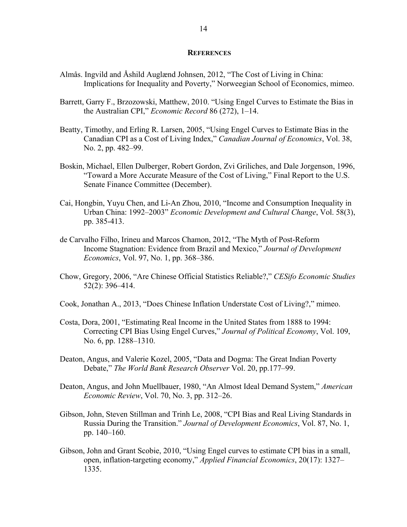#### **REFERENCES**

- Almås. Ingvild and Åshild Auglænd Johnsen, 2012, "The Cost of Living in China: Implications for Inequality and Poverty," Norweegian School of Economics, mimeo.
- Barrett, Garry F., Brzozowski, Matthew, 2010. "Using Engel Curves to Estimate the Bias in the Australian CPI," *Economic Record* 86 (272), 1–14.
- Beatty, Timothy, and Erling R. Larsen, 2005, "Using Engel Curves to Estimate Bias in the Canadian CPI as a Cost of Living Index," *Canadian Journal of Economics*, Vol. 38, No. 2, pp. 482–99.
- Boskin, Michael, Ellen Dulberger, Robert Gordon, Zvi Griliches, and Dale Jorgenson, 1996, "Toward a More Accurate Measure of the Cost of Living," Final Report to the U.S. Senate Finance Committee (December).
- Cai, Hongbin, Yuyu Chen, and Li-An Zhou, 2010, "Income and Consumption Inequality in Urban China: 1992–2003" *Economic Development and Cultural Change*, Vol. 58(3), pp. 385-413.
- de Carvalho Filho, Irineu and Marcos Chamon, 2012, "The Myth of Post-Reform Income Stagnation: Evidence from Brazil and Mexico," *Journal of Development Economics*, Vol. 97, No. 1, pp. 368–386.
- Chow, Gregory, 2006, "Are Chinese Official Statistics Reliable?," *CESifo Economic Studies*  52(2): 396–414.
- Cook, Jonathan A., 2013, "Does Chinese Inflation Understate Cost of Living?," mimeo.
- Costa, Dora, 2001, "Estimating Real Income in the United States from 1888 to 1994: Correcting CPI Bias Using Engel Curves," *Journal of Political Economy*, Vol. 109, No. 6, pp. 1288–1310.
- Deaton, Angus, and Valerie Kozel, 2005, "Data and Dogma: The Great Indian Poverty Debate," *The World Bank Research Observer* Vol. 20, pp.177–99.
- Deaton, Angus, and John Muellbauer, 1980, "An Almost Ideal Demand System," *American Economic Review*, Vol. 70, No. 3, pp. 312–26.
- Gibson, John, Steven Stillman and Trinh Le, 2008, "CPI Bias and Real Living Standards in Russia During the Transition." *Journal of Development Economics*, Vol. 87, No. 1, pp. 140–160.
- Gibson, John and Grant Scobie, 2010, "Using Engel curves to estimate CPI bias in a small, open, inflation-targeting economy," *Applied Financial Economics*, 20(17): 1327– 1335.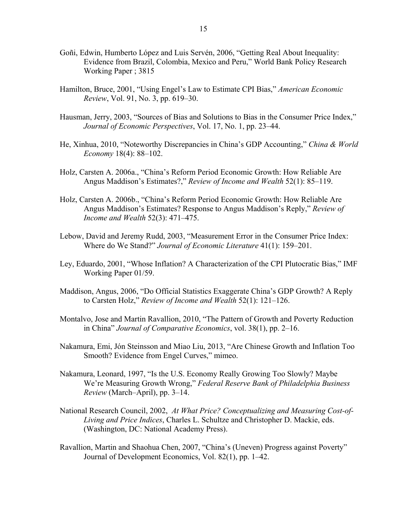- Goñi, Edwin, Humberto López and Luis Servén, 2006, "Getting Real About Inequality: Evidence from Brazil, Colombia, Mexico and Peru," World Bank Policy Research Working Paper ; 3815
- Hamilton, Bruce, 2001, "Using Engel's Law to Estimate CPI Bias," *American Economic Review*, Vol. 91, No. 3, pp. 619–30.
- Hausman, Jerry, 2003, "Sources of Bias and Solutions to Bias in the Consumer Price Index," *Journal of Economic Perspectives*, Vol. 17, No. 1, pp. 23–44.
- He, Xinhua, 2010, "Noteworthy Discrepancies in China's GDP Accounting," *China & World Economy* 18(4): 88–102.
- Holz, Carsten A. 2006a., "China's Reform Period Economic Growth: How Reliable Are Angus Maddison's Estimates?," *Review of Income and Wealth* 52(1): 85–119.
- Holz, Carsten A. 2006b., "China's Reform Period Economic Growth: How Reliable Are Angus Maddison's Estimates? Response to Angus Maddison's Reply," *Review of Income and Wealth* 52(3): 471–475.
- Lebow, David and Jeremy Rudd, 2003, "Measurement Error in the Consumer Price Index: Where do We Stand?" *Journal of Economic Literature* 41(1): 159–201.
- Ley, Eduardo, 2001, "Whose Inflation? A Characterization of the CPI Plutocratic Bias," IMF Working Paper 01/59.
- Maddison, Angus, 2006, "Do Official Statistics Exaggerate China's GDP Growth? A Reply to Carsten Holz," *Review of Income and Wealth* 52(1): 121–126.
- Montalvo, Jose and Martin Ravallion, 2010, "The Pattern of Growth and Poverty Reduction in China" *Journal of Comparative Economics*, vol. 38(1), pp. 2–16.
- Nakamura, Emi, Jón Steinsson and Miao Liu, 2013, "Are Chinese Growth and Inflation Too Smooth? Evidence from Engel Curves," mimeo.
- Nakamura, Leonard, 1997, "Is the U.S. Economy Really Growing Too Slowly? Maybe We're Measuring Growth Wrong," *Federal Reserve Bank of Philadelphia Business Review* (March–April), pp. 3–14.
- National Research Council, 2002, *At What Price? Conceptualizing and Measuring Cost-of-Living and Price Indices*, Charles L. Schultze and Christopher D. Mackie, eds. (Washington, DC: National Academy Press).
- Ravallion, Martin and Shaohua Chen, 2007, "China's (Uneven) Progress against Poverty" Journal of Development Economics, Vol. 82(1), pp. 1–42.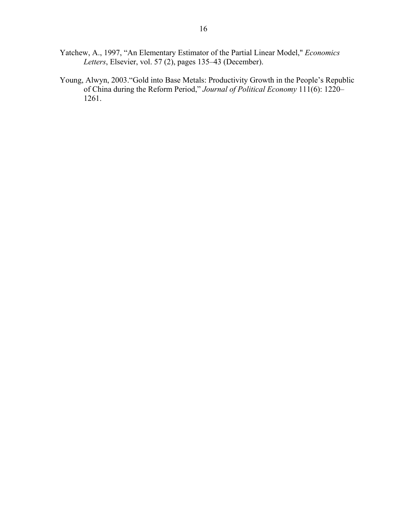- Yatchew, A., 1997, "An Elementary Estimator of the Partial Linear Model," *Economics Letters*, Elsevier, vol. 57 (2), pages 135–43 (December).
- Young, Alwyn, 2003."Gold into Base Metals: Productivity Growth in the People's Republic of China during the Reform Period," *Journal of Political Economy* 111(6): 1220– 1261.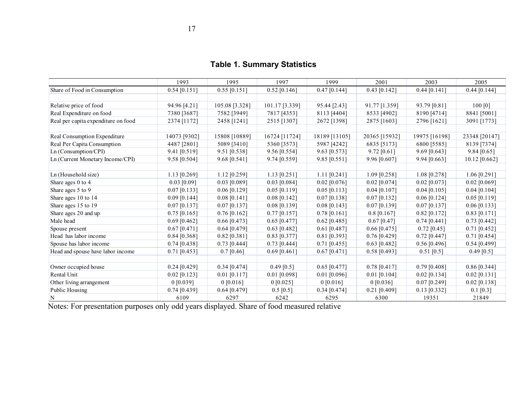**Table 1. Summary Statistics** 

|                                     | 1993           | 1995           | 1997           | 1999           | 2001           | 2003           | 2005           |
|-------------------------------------|----------------|----------------|----------------|----------------|----------------|----------------|----------------|
| Share of Food in Consumption        | $0.54$ [0.151] | $0.55$ [0.151] | $0.52$ [0.146] | $0.47$ [0.144] | $0.43$ [0.142] | $0.44$ [0.141] | $0.44$ [0.144] |
|                                     |                |                |                |                |                |                |                |
| Relative price of food              | 94.96 [4.21]   | 105.08 [3.328] | 101.17 [3.339] | 95.44 [2.43]   | 91.77 [1.359]  | 93.79 [0.81]   | 100 [0]        |
| Real Expenditure on food            | 7380 [3687]    | 7582 [3949]    | 7817 [4353]    | 8113 [4404]    | 8533 [4902]    | 8190 [4714]    | 8841 [5001]    |
| Real per capita expenditure on food | 2374 [1172]    | 2458 [1241]    | 2515 [1307]    | 2672 [1398]    | 2875 [1603]    | 2796 [1621]    | 3091 [1773]    |
|                                     |                |                |                |                |                |                |                |
| Real Consumption Expenditure        | 14073 [9302]   | 15808 [10889]  | 16724 [11724]  | 18189 [13105]  | 20365 [15932]  | 19975 [16198]  | 23348 [20147]  |
| Real Per Capita Consumption         | 4487 [2801]    | 5089 [3410]    | 5360 [3573]    | 5987 [4242]    | 6835 [5173]    | 6800 [5585]    | 8139 [7374]    |
| Ln (Consumption/CPI)                | 9.41 [0.519]   | $9.51$ [0.538] | 9.56 [0.554]   | 9.63 [0.573]   | $9.72$ [0.61]  | $9.69$ [0.643] | $9.84$ [0.65]  |
| Ln (Current Monetary Income/CPI)    | 9.58 [0.504]   | 9.68 [0.541]   | 9.74 [0.559]   | $9.85$ [0.551] | 9.96 [0.607]   | 9.94 [0.663]   | 10.12 [0.662]  |
|                                     |                |                |                |                |                |                |                |
| Ln (Household size)                 | $1.13$ [0.269] | $1.12$ [0.259] | $1.13$ [0.251] | $1.11$ [0.241] | $1.09$ [0.258] | 1.08 [0.278]   | $1.06$ [0.291] |
| Share ages 0 to 4                   | $0.03$ [0.09]  | $0.03$ [0.089] | $0.03$ [0.084] | $0.02$ [0.076] | $0.02$ [0.074] | $0.02$ [0.073] | $0.02$ [0.069] |
| Share ages 5 to 9                   | $0.07$ [0.133] | $0.06$ [0.129] | $0.05$ [0.119] | $0.05$ [0.113] | $0.04$ [0.107] | $0.04$ [0.105] | $0.04$ [0.104] |
| Share ages 10 to 14                 | $0.09$ [0.144] | $0.08$ [0.141] | $0.08$ [0.142] | $0.07$ [0.138] | $0.07$ [0.132] | $0.06$ [0.124] | $0.05$ [0.119] |
| Share ages 15 to 19                 | $0.07$ [0.137] | $0.07$ [0.137] | $0.08$ [0.139] | $0.08$ [0.143] | $0.07$ [0.139] | $0.07$ [0.137] | $0.06$ [0.133] |
| Share ages 20 and up                | $0.75$ [0.165] | $0.76$ [0.162] | $0.77$ [0.157] | $0.78$ [0.161] | $0.8$ [0.167]  | $0.82$ [0.172] | $0.83$ [0.171] |
| Male head                           | $0.69$ [0.462] | $0.66$ [0.473] | $0.65$ [0.477] | $0.62$ [0.485] | $0.67$ [0.47]  | $0.74$ [0.441] | $0.73$ [0.442] |
| Spouse present                      | $0.67$ [0.471] | $0.64$ [0.479] | $0.63$ [0.482] | $0.61$ [0.487] | $0.66$ [0.475] | $0.72$ [0.45]  | $0.71$ [0.452] |
| Head has labor income               | $0.84$ [0.368] | $0.82$ [0.381] | $0.83$ [0.377] | 0.81 [0.393]   | $0.76$ [0.429] | $0.72$ [0.447] | $0.71$ [0.454] |
| Spouse has labor income             | $0.74$ [0.438] | $0.73$ [0.444] | $0.73$ [0.444] | $0.71$ [0.455] | $0.63$ [0.482] | $0.56$ [0.496] | 0.54 [0.499]   |
| Head and spouse have labor income   | $0.71$ [0.453] | $0.7$ [0.46]   | $0.69$ [0.461] | $0.67$ [0.471] | $0.58$ [0.493] | $0.51$ [0.5]   | $0.49$ [0.5]   |
|                                     |                |                |                |                |                |                |                |
| Owner occupied house                | $0.24$ [0.429] | $0.34$ [0.474] | $0.49$ [0.5]   | $0.65$ [0.477] | $0.78$ [0.417] | $0.79$ [0.408] | $0.86$ [0.344] |
| Rental Unit                         | $0.02$ [0.123] | $0.01$ [0.117] | $0.01$ [0.098] | $0.01$ [0.096] | $0.01$ [0.104] | $0.02$ [0.134] | $0.02$ [0.131] |
| Other living arrangement            | $0$ [0.039]    | $0$ [0.016]    | $0$ [0.025]    | $0$ [0.016]    | $0$ [0.036]    | $0.07$ [0.249] | $0.02$ [0.138] |
| <b>Public Housing</b>               | $0.74$ [0.439] | $0.64$ [0.479] | $0.5$ [0.5]    | $0.34$ [0.474] | $0.21$ [0.409] | $0.13$ [0.332] | $0.1$ [0.3]    |
| N                                   | 6109           | 6297           | 6242           | 6295           | 6300           | 19351          | 21849          |

Notes: For presentation purposes only odd years displayed. Share of food measured relative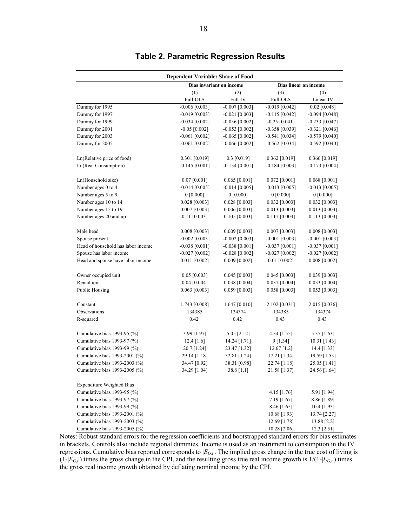|                                    | <b>Dependent Variable: Share of Food</b> |                  |                              |                  |  |
|------------------------------------|------------------------------------------|------------------|------------------------------|------------------|--|
|                                    | <b>Bias invariant on income</b>          |                  | <b>Bias linear on income</b> |                  |  |
|                                    | (1)                                      | (2)              | (3)                          | (4)              |  |
|                                    | Full-OLS                                 | Full-IV          | Full-OLS                     | Linear-IV        |  |
| Dummy for 1995                     | $-0.006$ [0.003]                         | $-0.007$ [0.003] | $-0.019$ [0.042]             | $0.02$ [0.048]   |  |
| Dummy for 1997                     | $-0.019$ [0.003]                         | $-0.021$ [0.003] | $-0.115$ [0.042]             | $-0.094$ [0.048] |  |
| Dummy for 1999                     | $-0.034$ [0.002]                         | $-0.036$ [0.002] | $-0.25$ [0.041]              | $-0.233$ [0.047] |  |
| Dummy for 2001                     | $-0.05$ [0.002]                          | $-0.053$ [0.002] | $-0.358$ [0.039]             | $-0.321$ [0.046] |  |
| Dummy for 2003                     | $-0.061$ [0.002]                         | $-0.065$ [0.002] | $-0.541$ [0.034]             | $-0.579$ [0.040] |  |
| Dummy for 2005                     | $-0.061$ [0.002]                         | $-0.066$ [0.002] | $-0.562$ [0.034]             | $-0.592$ [0.040] |  |
| Ln(Relative price of food)         | $0.301$ [0.019]                          | $0.3$ [0.019]    | $0.362$ [0.019]              | 0.366 [0.019]    |  |
| Ln(Real Consumption)               | $-0.145$ [0.001]                         | $-0.134$ [0.001] | $-0.184$ [0.003]             | $-0.173$ [0.004] |  |
| Ln(Household size)                 | $0.07$ [0.001]                           | $0.065$ [0.001]  | $0.072$ [0.001]              | $0.068$ [0.001]  |  |
| Number ages 0 to 4                 | $-0.014$ [0.005]                         | $-0.014$ [0.005] | $-0.013$ [0.005]             | $-0.013$ [0.005] |  |
| Number ages 5 to 9                 | $0$ [0.000]                              | 0 [0.000]        | $0$ [0.000]                  | 0 [0.000]        |  |
| Number ages 10 to 14               | $0.028$ [0.003]                          | $0.028$ [0.003]  | $0.032$ [0.003]              | $0.032$ [0.003]  |  |
| Number ages 15 to 19               | $0.007$ [0.003]                          | 0.006 [0.003]    | $0.013$ [0.003]              | 0.013 [0.003]    |  |
| Number ages 20 and up              | $0.11$ [0.003]                           | 0.105 [0.003]    | $0.117$ [0.003]              | $0.113$ [0.003]  |  |
| Male head                          | $0.008$ [0.003]                          | $0.009$ [0.003]  | $0.007$ [0.003]              | $0.008$ [0.003]  |  |
| Spouse present                     | $-0.002$ [0.003]                         | $-0.002$ [0.003] | $-0.001$ [0.003]             | $-0.001$ [0.003] |  |
| Head of household has labor income | $-0.038$ [0.001]                         | $-0.038$ [0.001] | $-0.037$ [0.001]             | $-0.037$ [0.001] |  |
| Spouse has labor income            | $-0.027$ [0.002]                         | $-0.028$ [0.002] | $-0.027$ [0.002]             | $-0.027$ [0.002] |  |
| Head and spouse have labor income  | $0.011$ [0.002]                          | $0.009$ [0.002]  | $0.01$ [0.002]               | $0.008$ [0.002]  |  |
| Owner occupied unit                | $0.05$ [0.003]                           | $0.045$ [0.003]  | $0.045$ [0.003]              | 0.039 [0.003]    |  |
| Rental unit                        | $0.04$ [0.004]                           | 0.038 [0.004]    | $0.037$ [0.004]              | $0.033$ [0.004]  |  |
| <b>Public Housing</b>              | $0.063$ [0.003]                          | $0.059$ [0.003]  | 0.058 [0.003]                | $0.053$ [0.003]  |  |
| Constant                           | 1.743 [0.008]                            | $1.647$ [0.010]  | 2.102 [0.031]                | 2.015 [0.036]    |  |
| Observations                       | 134385                                   | 134374           | 134385                       | 134374           |  |
| R-squared                          | 0.42                                     | 0.42             | 0.43                         | 0.43             |  |
| Cumulative bias 1993-95 (%)        | 3.99 [1.97]                              | $5.05$ [2.12]    | 4.34 [1.55]                  | $5.35$ [1.63]    |  |
| Cumulative bias 1993-97 (%)        | 12.4 [1.6]                               | 14.24 [1.71]     | 9 [1.34]                     | 10.31 [1.43]     |  |
| Cumulative bias 1993-99 (%)        | 20.7 [1.24]                              | 23.47 [1.32]     | 12.67 [1.2]                  | 14.4 [1.33]      |  |
| Cumulative bias 1993-2001 (%)      | 29.14 [1.18]                             | 32.81 [1.24]     | 17.21 [1.34]                 | 19.59 [1.53]     |  |
| Cumulative bias 1993-2003 (%)      | 34.47 [0.92]                             | 38.31 [0.98]     | 22.74 [1.18]                 | 25.05 [1.41]     |  |
| Cumulative bias 1993-2005 (%)      | 34.29 [1.04]                             | 38.8 [1.1]       | 21.58 [1.37]                 | 24.56 [1.64]     |  |
| <b>Expenditure Weighted Bias</b>   |                                          |                  |                              |                  |  |
| Cumulative bias 1993-95 (%)        |                                          |                  | 4.15 $[1.76]$                | 5.91 [1.94]      |  |
| Cumulative bias 1993-97 $(\%)$     |                                          |                  | $7.19$ [1.67]                | 8.86 [1.89]      |  |
| Cumulative bias 1993-99 (%)        |                                          |                  | 8.46 [1.65]                  | 10.4 [1.93]      |  |
| Cumulative bias 1993-2001 (%)      |                                          |                  | 10.68 [1.93]                 | 13.74 [2.27]     |  |
| Cumulative bias 1993-2003 (%)      |                                          |                  | 12.69 [1.78]                 | 13.88 [2.2]      |  |
| Cumulative bias 1993-2005 (%)      |                                          |                  | 10.28 [2.06]                 | 12.3 [2.51]      |  |

# **Table 2. Parametric Regression Results**

Notes: Robust standard errors for the regression coefficients and bootstrapped standard errors for bias estimates in brackets. Controls also include regional dummies. Income is used as an instrument to consumption in the IV regressions. Cumulative bias reported corresponds to |*EG,t*|. The implied gross change in the true cost of living is  $(1-[E_{G,t}])$  times the gross change in the CPI, and the resulting gross true real income growth is  $1/(1-[E_{G,t}])$  times the gross real income growth obtained by deflating nominal income by the CPI.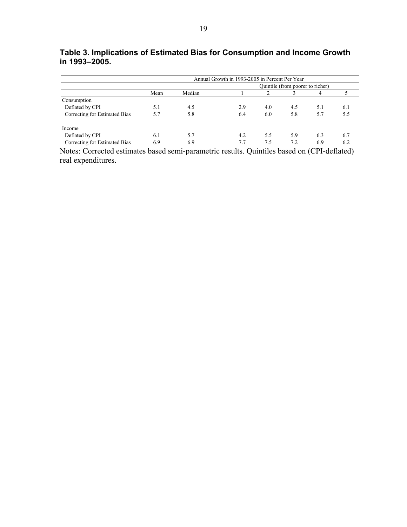|                               |      |        | Annual Growth in 1993-2005 in Percent Per Year |                                  |     |     |     |  |
|-------------------------------|------|--------|------------------------------------------------|----------------------------------|-----|-----|-----|--|
|                               |      |        |                                                | Quintile (from poorer to richer) |     |     |     |  |
|                               | Mean | Median |                                                |                                  |     |     |     |  |
| Consumption                   |      |        |                                                |                                  |     |     |     |  |
| Deflated by CPI               | 5.1  | 4.5    | 2.9                                            | 4.0                              | 4.5 | 5.1 | 6.1 |  |
| Correcting for Estimated Bias | 5.7  | 5.8    | 6.4                                            | 6.0                              | 5.8 | 5.7 | 5.5 |  |
| Income                        |      |        |                                                |                                  |     |     |     |  |
| Deflated by CPI               | 6.1  | 5.7    | 4.2                                            | 5.5                              | 5.9 | 6.3 | 6.7 |  |
| Correcting for Estimated Bias | 6.9  | 6.9    | 7.7                                            | 7.5                              | 7.2 | 6.9 | 6.2 |  |

**Table 3. Implications of Estimated Bias for Consumption and Income Growth in 1993–2005.** 

Notes: Corrected estimates based semi-parametric results. Quintiles based on (CPI-deflated) real expenditures.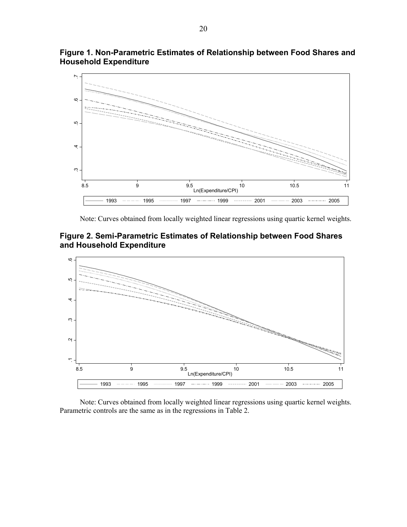

**Figure 1. Non-Parametric Estimates of Relationship between Food Shares and Household Expenditure**

Note: Curves obtained from locally weighted linear regressions using quartic kernel weights.





 Note: Curves obtained from locally weighted linear regressions using quartic kernel weights. Parametric controls are the same as in the regressions in Table 2.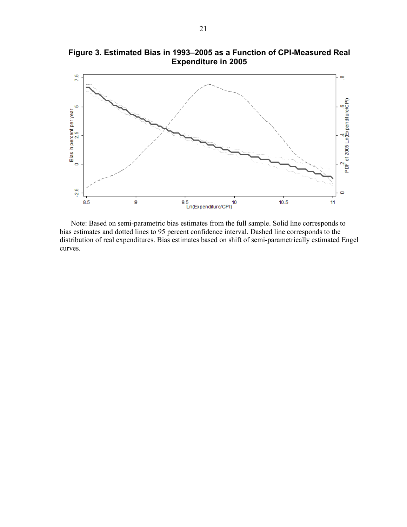

**Figure 3. Estimated Bias in 1993–2005 as a Function of CPI-Measured Real Expenditure in 2005** 

 Note: Based on semi-parametric bias estimates from the full sample. Solid line corresponds to bias estimates and dotted lines to 95 percent confidence interval. Dashed line corresponds to the distribution of real expenditures. Bias estimates based on shift of semi-parametrically estimated Engel curves.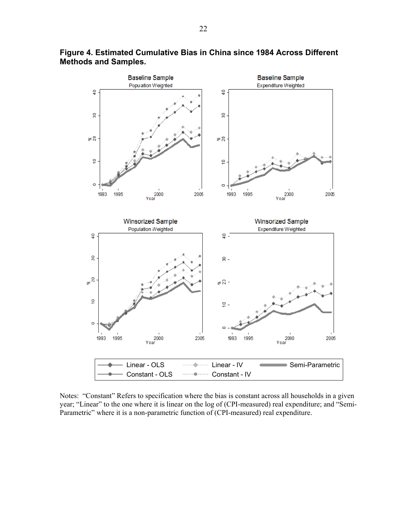

**Figure 4. Estimated Cumulative Bias in China since 1984 Across Different Methods and Samples.**

Notes: "Constant" Refers to specification where the bias is constant across all households in a given year; "Linear" to the one where it is linear on the log of (CPI-measured) real expenditure; and "Semi-Parametric" where it is a non-parametric function of (CPI-measured) real expenditure.